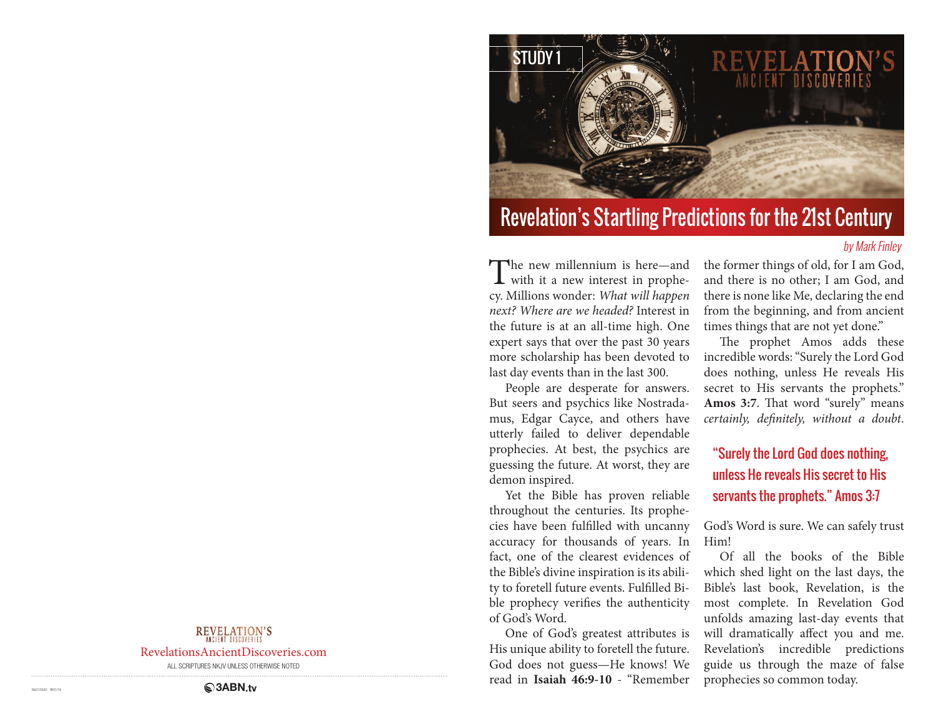

# Revelation's Startling Predictions for the 21st Century

#### by Mark Finley

The new millennium is here—and<br>with it a new interest in prophe-<br>with the set of the set of the set of the set of the set of the set of the set of the set of the set of the set of the set of the set of the set of the set cy. Millions wonder: *What will happen next? Where are we headed?* Interest in the future is at an all-time high. One expert says that over the past 30 years more scholarship has been devoted to last day events than in the last 300.

People are desperate for answers. But seers and psychics like Nostradamus, Edgar Cayce, and others have utterly failed to deliver dependable prophecies. At best, the psychics are guessing the future. At worst, they are demon inspired.

Yet the Bible has proven reliable throughout the centuries. Its prophecies have been fulfilled with uncanny accuracy for thousands of years. In fact, one of the clearest evidences of the Bible's divine inspiration is its ability to foretell future events. Fulfilled Bible prophecy verifies the authenticity of God's Word.

One of God's greatest attributes is His unique ability to foretell the future. God does not guess—He knows! We read in **Isaiah 46:9-10** - "Remember

the former things of old, for I am God, and there is no other; I am God, and there is none like Me, declaring the end from the beginning, and from ancient times things that are not yet done."

The prophet Amos adds these incredible words: "Surely the Lord God does nothing, unless He reveals His secret to His servants the prophets." **Amos 3:7**. That word "surely" means *certainly, definitely, without a doubt*.

## "Surely the Lord God does nothing, unless He reveals His secret to His servants the prophets." Amos 3:7

God's Word is sure. We can safely trust Him!

Of all the books of the Bible which shed light on the last days, the Bible's last book, Revelation, is the most complete. In Revelation God unfolds amazing last-day events that will dramatically affect you and me. Revelation's incredible predictions guide us through the maze of false prophecies so common today.

### **REVELATION'S**

RevelationsAncientDiscoveries.com

ALL SCRIPTURES NKJV UNLESS OTHERWISE NOTED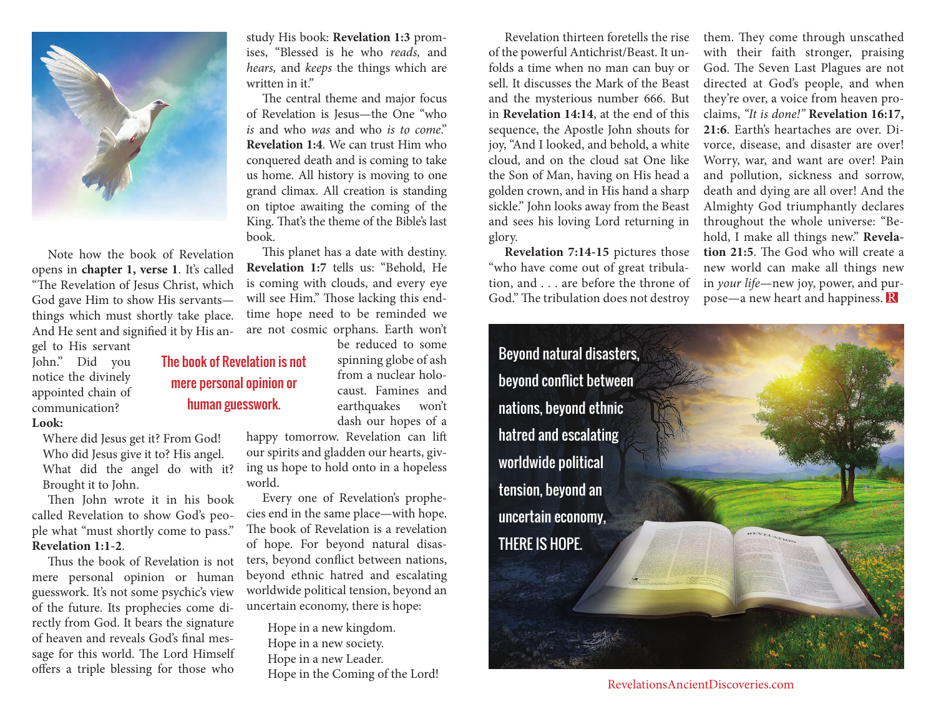

Note how the book of Revelation opens in **chapter 1, verse 1**. It's called "The Revelation of Jesus Christ, which God gave Him to show His servants things which must shortly take place. And He sent and signified it by His an-

> The book of Revelation is not mere personal opinion or human guesswork.

gel to His servant John." Did you notice the divinely appointed chain of communication? **Look:**

Where did Jesus get it? From God! Who did Jesus give it to? His angel. What did the angel do with it? Brought it to John.

Then John wrote it in his book called Revelation to show God's people what "must shortly come to pass." **Revelation 1:1-2**.

Thus the book of Revelation is not mere personal opinion or human guesswork. It's not some psychic's view of the future. Its prophecies come directly from God. It bears the signature of heaven and reveals God's final message for this world. The Lord Himself offers a triple blessing for those who

study His book: **Revelation 1:3** promises, "Blessed is he who *reads,* and *hears,* and *keeps* the things which are written in it."

The central theme and major focus of Revelation is Jesus—the One "who *is* and who *was* and who *is to come*." **Revelation 1:4**. We can trust Him who conquered death and is coming to take us home. All history is moving to one grand climax. All creation is standing on tiptoe awaiting the coming of the King. That's the theme of the Bible's last book.

This planet has a date with destiny. **Revelation 1:7** tells us: "Behold, He is coming with clouds, and every eye will see Him." Those lacking this endtime hope need to be reminded we are not cosmic orphans. Earth won't

> be reduced to some spinning globe of ash from a nuclear holocaust. Famines and earthquakes won't dash our hopes of a

happy tomorrow. Revelation can lift our spirits and gladden our hearts, giving us hope to hold onto in a hopeless world.

Every one of Revelation's prophecies end in the same place—with hope. The book of Revelation is a revelation of hope. For beyond natural disasters, beyond conflict between nations, beyond ethnic hatred and escalating worldwide political tension, beyond an uncertain economy, there is hope:

> Hope in a new kingdom. Hope in a new society. Hope in a new Leader. Hope in the Coming of the Lord!

Revelation thirteen foretells the rise of the powerful Antichrist/Beast. It unfolds a time when no man can buy or sell. It discusses the Mark of the Beast and the mysterious number 666. But in **Revelation 14:14**, at the end of this sequence, the Apostle John shouts for joy, "And I looked, and behold, a white cloud, and on the cloud sat One like the Son of Man, having on His head a golden crown, and in His hand a sharp sickle." John looks away from the Beast and sees his loving Lord returning in glory.

**Revelation 7:14-15** pictures those "who have come out of great tribulation, and . . . are before the throne of God." The tribulation does not destroy

them. They come through unscathed with their faith stronger, praising God. The Seven Last Plagues are not directed at God's people, and when they're over, a voice from heaven proclaims, *"It is done!"* **Revelation 16:17, 21:6**. Earth's heartaches are over. Divorce, disease, and disaster are over! Worry, war, and want are over! Pain and pollution, sickness and sorrow, death and dying are all over! And the Almighty God triumphantly declares throughout the whole universe: "Behold, I make all things new." **Revelation 21:5**. The God who will create a new world can make all things new in *your life*—new joy, power, and purpose—a new heart and happiness.



RevelationsAncientDiscoveries.com